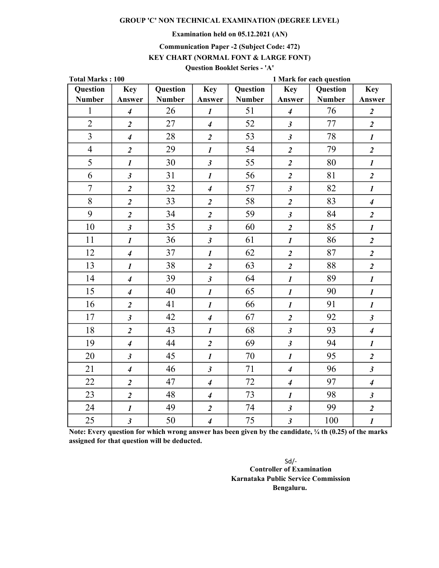Examination held on 05.12.2021 (AN)

Communication Paper -2 (Subject Code: 472)

## KEY CHART (NORMAL FONT & LARGE FONT)

# Question Booklet Series - 'A'

| <b>Total Marks: 100</b> |                             |                 |                             | 1 Mark for each question |                             |               |                             |  |
|-------------------------|-----------------------------|-----------------|-----------------------------|--------------------------|-----------------------------|---------------|-----------------------------|--|
| Question                | <b>Key</b>                  | <b>Question</b> | <b>Key</b>                  | Question                 | <b>Key</b>                  | Question      | <b>Key</b>                  |  |
| <b>Number</b>           | Answer                      | <b>Number</b>   | Answer                      | <b>Number</b>            | Answer                      | <b>Number</b> | Answer                      |  |
| $\mathbf{1}$            | $\overline{\boldsymbol{4}}$ | 26              | $\boldsymbol{l}$            | 51                       | $\overline{\boldsymbol{4}}$ | 76            | $\overline{\mathbf{c}}$     |  |
| $\overline{2}$          | $\overline{2}$              | 27              | $\overline{4}$              | 52                       | $\mathfrak{z}$              | 77            | $\overline{2}$              |  |
| $\overline{3}$          | $\overline{\boldsymbol{4}}$ | 28              | $\overline{\mathbf{c}}$     | 53                       | $\mathfrak{z}$              | 78            | $\boldsymbol{l}$            |  |
| $\overline{4}$          | $\overline{2}$              | 29              | $\boldsymbol{l}$            | 54                       | $\overline{2}$              | 79            | $\overline{\mathbf{c}}$     |  |
| 5                       | $\boldsymbol{l}$            | 30              | $\mathfrak{z}$              | 55                       | $\overline{2}$              | 80            | $\boldsymbol{l}$            |  |
| 6                       | $\mathfrak{z}$              | 31              | $\boldsymbol{l}$            | 56                       | $\overline{2}$              | 81            | $\overline{\mathbf{c}}$     |  |
| $\overline{7}$          | $\overline{2}$              | 32              | $\overline{\boldsymbol{4}}$ | 57                       | $\mathfrak{z}$              | 82            | $\boldsymbol{l}$            |  |
| 8                       | $\overline{\mathbf{2}}$     | 33              | $\boldsymbol{2}$            | 58                       | $\overline{2}$              | 83            | $\boldsymbol{4}$            |  |
| 9                       | $\overline{2}$              | 34              | $\boldsymbol{2}$            | 59                       | $\mathfrak{z}$              | 84            | $\overline{\mathbf{c}}$     |  |
| 10                      | $\mathfrak{z}$              | 35              | $\mathfrak{z}$              | 60                       | $\overline{2}$              | 85            | $\boldsymbol{l}$            |  |
| 11                      | $\boldsymbol{l}$            | 36              | $\mathfrak{z}$              | 61                       | $\boldsymbol{l}$            | 86            | $\overline{\mathbf{c}}$     |  |
| 12                      | $\boldsymbol{4}$            | 37              | $\boldsymbol{l}$            | 62                       | $\overline{2}$              | 87            | $\overline{\mathbf{c}}$     |  |
| 13                      | $\boldsymbol{l}$            | 38              | $\overline{\mathbf{2}}$     | 63                       | $\overline{\mathbf{c}}$     | 88            | $\overline{\mathbf{2}}$     |  |
| 14                      | $\boldsymbol{4}$            | 39              | $\mathfrak{z}$              | 64                       | $\boldsymbol{l}$            | 89            | $\boldsymbol{l}$            |  |
| 15                      | $\overline{\boldsymbol{4}}$ | 40              | $\boldsymbol{l}$            | 65                       | $\boldsymbol{l}$            | 90            | $\boldsymbol{l}$            |  |
| 16                      | $\overline{\mathbf{c}}$     | 41              | $\boldsymbol{l}$            | 66                       | $\boldsymbol{l}$            | 91            | $\boldsymbol{l}$            |  |
| 17                      | $\mathfrak{z}$              | 42              | $\overline{\boldsymbol{4}}$ | 67                       | $\overline{2}$              | 92            | $\mathfrak{z}$              |  |
| 18                      | $\overline{\mathbf{2}}$     | 43              | $\boldsymbol{l}$            | 68                       | $\overline{\mathbf{3}}$     | 93            | $\overline{4}$              |  |
| 19                      | $\overline{\boldsymbol{4}}$ | 44              | $\overline{\mathbf{c}}$     | 69                       | $\mathfrak{z}$              | 94            | $\boldsymbol{l}$            |  |
| 20                      | $\mathfrak{z}$              | 45              | $\boldsymbol{l}$            | 70                       | $\boldsymbol{l}$            | 95            | $\overline{\mathbf{c}}$     |  |
| 21                      | $\boldsymbol{4}$            | 46              | $\mathfrak{z}$              | 71                       | $\overline{\boldsymbol{4}}$ | 96            | $\boldsymbol{\beta}$        |  |
| 22                      | $\overline{2}$              | 47              | $\overline{\mathbf{4}}$     | 72                       | $\overline{\mathcal{A}}$    | 97            | $\overline{\boldsymbol{4}}$ |  |
| 23                      | $\overline{2}$              | 48              | $\overline{\boldsymbol{4}}$ | 73                       | $\boldsymbol{l}$            | 98            | $\boldsymbol{\beta}$        |  |
| 24                      | $\boldsymbol{l}$            | 49              | $\overline{\mathbf{c}}$     | 74                       | $\mathfrak{z}$              | 99            | $\boldsymbol{2}$            |  |
| 25                      | $\mathfrak{z}$              | 50              | $\overline{\boldsymbol{4}}$ | 75                       | $\mathfrak{z}$              | 100           | $\boldsymbol{l}$            |  |

Note: Every question for which wrong answer has been given by the candidate,  $\frac{1}{4}$  th (0.25) of the marks assigned for that question will be deducted.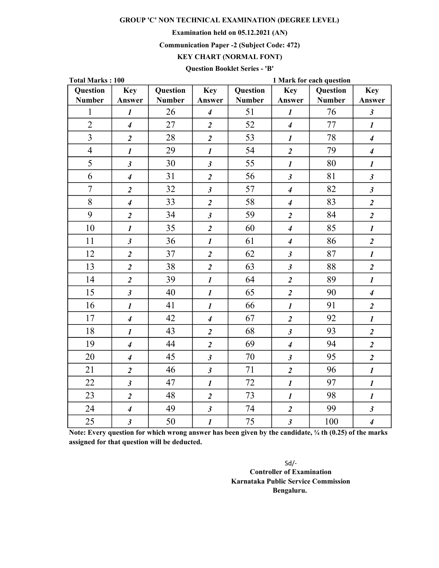Examination held on 05.12.2021 (AN)

### Communication Paper -2 (Subject Code: 472)

KEY CHART (NORMAL FONT)

## Question Booklet Series - 'B'

| <b>Total Marks: 100</b> |                             |                 |                             | 1 Mark for each question |                             |               |                             |  |
|-------------------------|-----------------------------|-----------------|-----------------------------|--------------------------|-----------------------------|---------------|-----------------------------|--|
| <b>Question</b>         | <b>Key</b>                  | <b>Question</b> | <b>Key</b>                  | Question                 | <b>Key</b>                  | Question      | <b>Key</b>                  |  |
| <b>Number</b>           | Answer                      | <b>Number</b>   | Answer                      | <b>Number</b>            | Answer                      | <b>Number</b> | Answer                      |  |
| $\mathbf{1}$            | $\boldsymbol{l}$            | 26              | $\overline{4}$              | 51                       | $\boldsymbol{l}$            | 76            | $\mathfrak{z}$              |  |
| $\overline{2}$          | $\overline{\boldsymbol{4}}$ | 27              | $\overline{2}$              | 52                       | $\overline{\boldsymbol{4}}$ | 77            | $\boldsymbol{l}$            |  |
| $\overline{3}$          | $\overline{2}$              | 28              | $\overline{2}$              | 53                       | $\boldsymbol{l}$            | 78            | $\boldsymbol{4}$            |  |
| $\overline{4}$          | $\boldsymbol{l}$            | 29              | $\boldsymbol{l}$            | 54                       | $\overline{2}$              | 79            | $\overline{4}$              |  |
| 5                       | $\mathfrak{z}$              | 30              | $\mathfrak{z}$              | 55                       | $\boldsymbol{l}$            | 80            | $\boldsymbol{l}$            |  |
| 6                       | $\overline{\boldsymbol{4}}$ | 31              | $\overline{2}$              | 56                       | $\mathfrak{z}$              | 81            | $\boldsymbol{\mathfrak{z}}$ |  |
| $\overline{7}$          | $\overline{2}$              | 32              | $\mathfrak{z}$              | 57                       | $\overline{\boldsymbol{4}}$ | 82            | $\boldsymbol{\beta}$        |  |
| 8                       | $\overline{\boldsymbol{4}}$ | 33              | $\overline{2}$              | 58                       | $\overline{\boldsymbol{4}}$ | 83            | $\overline{2}$              |  |
| 9                       | $\boldsymbol{2}$            | 34              | $\mathfrak{z}$              | 59                       | $\overline{2}$              | 84            | $\overline{2}$              |  |
| 10                      | $\boldsymbol{l}$            | 35              | $\overline{2}$              | 60                       | $\overline{\boldsymbol{4}}$ | 85            | $\boldsymbol{l}$            |  |
| 11                      | $\boldsymbol{\beta}$        | 36              | $\boldsymbol{l}$            | 61                       | $\boldsymbol{4}$            | 86            | $\overline{2}$              |  |
| 12                      | $\overline{\mathbf{c}}$     | 37              | $\overline{2}$              | 62                       | $\mathfrak{z}$              | 87            | $\boldsymbol{l}$            |  |
| 13                      | $\overline{\mathbf{c}}$     | 38              | $\overline{\mathbf{c}}$     | 63                       | $\mathfrak{z}$              | 88            | $\overline{2}$              |  |
| 14                      | $\overline{2}$              | 39              | $\boldsymbol{l}$            | 64                       | $\overline{2}$              | 89            | $\boldsymbol{l}$            |  |
| 15                      | $\mathfrak{z}$              | 40              | $\boldsymbol{l}$            | 65                       | $\overline{2}$              | 90            | $\overline{\boldsymbol{4}}$ |  |
| 16                      | $\boldsymbol{l}$            | 41              | $\boldsymbol{l}$            | 66                       | $\boldsymbol{l}$            | 91            | $\boldsymbol{2}$            |  |
| 17                      | $\boldsymbol{4}$            | 42              | $\overline{\boldsymbol{4}}$ | 67                       | $\boldsymbol{2}$            | 92            | $\boldsymbol{l}$            |  |
| 18                      | $\boldsymbol{l}$            | 43              | $\overline{2}$              | 68                       | $\mathfrak{z}$              | 93            | $\overline{2}$              |  |
| 19                      | $\boldsymbol{4}$            | 44              | $\overline{2}$              | 69                       | $\overline{\boldsymbol{4}}$ | 94            | $\overline{\mathbf{c}}$     |  |
| 20                      | $\overline{\boldsymbol{4}}$ | 45              | $\mathfrak{z}$              | 70                       | $\mathfrak{z}$              | 95            | $\overline{\mathbf{c}}$     |  |
| 21                      | $\overline{\mathbf{2}}$     | 46              | $\mathfrak{z}$              | 71                       | $\boldsymbol{2}$            | 96            | $\boldsymbol{l}$            |  |
| 22                      | $\mathfrak{z}$              | 47              | $\boldsymbol{l}$            | 72                       | $\boldsymbol{l}$            | 97            | $\boldsymbol{l}$            |  |
| 23                      | $\overline{2}$              | 48              | $\overline{2}$              | 73                       | $\boldsymbol{l}$            | 98            | $\boldsymbol{l}$            |  |
| 24                      | $\boldsymbol{4}$            | 49              | $\mathfrak{z}$              | 74                       | $\boldsymbol{2}$            | 99            | $\boldsymbol{\beta}$        |  |
| 25                      | $\mathfrak{z}$              | 50              | $\boldsymbol{l}$            | 75                       | $\mathfrak{z}$              | 100           | $\overline{\boldsymbol{4}}$ |  |

Note: Every question for which wrong answer has been given by the candidate, ¼ th (0.25) of the marks assigned for that question will be deducted.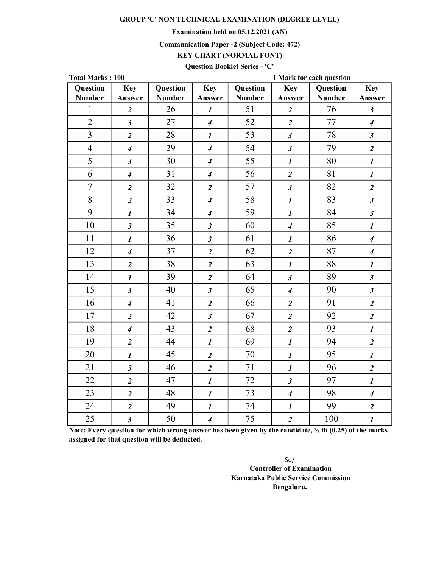Examination held on 05.12.2021 (AN)

#### Communication Paper -2 (Subject Code: 472)

KEY CHART (NORMAL FONT)

Question Booklet Series - 'C'

| <b>Total Marks: 100</b> |                             |                 |                             | 1 Mark for each question |                             |               |                             |  |
|-------------------------|-----------------------------|-----------------|-----------------------------|--------------------------|-----------------------------|---------------|-----------------------------|--|
| Question                | <b>Key</b>                  | <b>Question</b> | <b>Key</b>                  | Question                 | <b>Key</b>                  | Question      | <b>Key</b>                  |  |
| <b>Number</b>           | Answer                      | <b>Number</b>   | Answer                      | <b>Number</b>            | Answer                      | <b>Number</b> | Answer                      |  |
| $\mathbf{1}$            | $\overline{2}$              | 26              | $\boldsymbol{l}$            | 51                       | $\overline{2}$              | 76            | $\mathfrak{z}$              |  |
| $\overline{2}$          | $\mathfrak{z}$              | 27              | $\overline{\boldsymbol{4}}$ | 52                       | $\overline{2}$              | 77            | $\overline{\boldsymbol{4}}$ |  |
| $\overline{3}$          | $\overline{\mathbf{c}}$     | 28              | $\boldsymbol{l}$            | 53                       | $\mathfrak{z}$              | 78            | $\boldsymbol{\beta}$        |  |
| $\overline{4}$          | $\boldsymbol{4}$            | 29              | $\overline{\boldsymbol{4}}$ | 54                       | $\mathfrak{z}$              | 79            | $\overline{\mathbf{c}}$     |  |
| 5                       | $\mathfrak{z}$              | 30              | $\boldsymbol{4}$            | 55                       | $\boldsymbol{l}$            | 80            | $\boldsymbol{l}$            |  |
| 6                       | $\overline{\boldsymbol{4}}$ | 31              | $\overline{4}$              | 56                       | $\overline{\mathbf{c}}$     | 81            | $\boldsymbol{l}$            |  |
| $\overline{7}$          | $\overline{\mathbf{2}}$     | 32              | $\overline{\mathbf{c}}$     | 57                       | $\mathfrak{z}$              | 82            | $\overline{\mathbf{c}}$     |  |
| 8                       | $\overline{\mathbf{c}}$     | 33              | $\overline{4}$              | 58                       | $\boldsymbol{l}$            | 83            | $\mathfrak{z}$              |  |
| 9                       | $\boldsymbol{l}$            | 34              | $\overline{4}$              | 59                       | $\boldsymbol{l}$            | 84            | $\boldsymbol{\beta}$        |  |
| 10                      | $\mathfrak{z}$              | 35              | $\mathfrak{z}$              | 60                       | $\overline{\boldsymbol{4}}$ | 85            | $\boldsymbol{l}$            |  |
| 11                      | $\boldsymbol{l}$            | 36              | $\mathfrak{z}$              | 61                       | $\boldsymbol{l}$            | 86            | $\boldsymbol{4}$            |  |
| 12                      | $\boldsymbol{4}$            | 37              | $\boldsymbol{2}$            | 62                       | $\overline{2}$              | 87            | $\overline{4}$              |  |
| 13                      | $\overline{\mathbf{c}}$     | 38              | $\boldsymbol{2}$            | 63                       | $\boldsymbol{l}$            | 88            | $\boldsymbol{l}$            |  |
| 14                      | $\boldsymbol{l}$            | 39              | $\overline{2}$              | 64                       | $\mathfrak{z}$              | 89            | $\mathfrak{z}$              |  |
| 15                      | $\mathfrak{z}$              | 40              | $\mathfrak{z}$              | 65                       | $\overline{\boldsymbol{4}}$ | 90            | $\mathfrak{z}$              |  |
| 16                      | $\boldsymbol{4}$            | 41              | $\overline{\mathbf{c}}$     | 66                       | $\boldsymbol{2}$            | 91            | $\overline{\mathbf{2}}$     |  |
| 17                      | $\boldsymbol{2}$            | 42              | $\mathfrak{z}$              | 67                       | $\overline{2}$              | 92            | $\overline{\mathbf{c}}$     |  |
| 18                      | $\overline{\boldsymbol{4}}$ | 43              | $\overline{2}$              | 68                       | $\overline{2}$              | 93            | $\boldsymbol{l}$            |  |
| 19                      | $\overline{\mathbf{c}}$     | 44              | $\boldsymbol{l}$            | 69                       | $\boldsymbol{l}$            | 94            | $\overline{2}$              |  |
| 20                      | $\boldsymbol{l}$            | 45              | $\overline{\mathbf{c}}$     | 70                       | $\boldsymbol{l}$            | 95            | $\boldsymbol{l}$            |  |
| 21                      | $\mathfrak{z}$              | 46              | $\overline{\mathbf{c}}$     | 71                       | $\boldsymbol{l}$            | 96            | $\overline{\mathbf{c}}$     |  |
| 22                      | $\overline{2}$              | 47              | $\boldsymbol{l}$            | 72                       | $\mathfrak{z}$              | 97            | $\boldsymbol{l}$            |  |
| 23                      | $\overline{2}$              | 48              | $\boldsymbol{l}$            | 73                       | $\overline{\boldsymbol{4}}$ | 98            | $\overline{4}$              |  |
| 24                      | $\overline{\mathbf{2}}$     | 49              | $\boldsymbol{l}$            | 74                       | $\boldsymbol{l}$            | 99            | $\overline{\mathbf{c}}$     |  |
| 25                      | $\mathfrak{z}$              | 50              | $\overline{\boldsymbol{4}}$ | 75                       | $\overline{2}$              | 100           | $\boldsymbol{l}$            |  |

Note: Every question for which wrong answer has been given by the candidate,  $\frac{1}{4}$  th (0.25) of the marks assigned for that question will be deducted.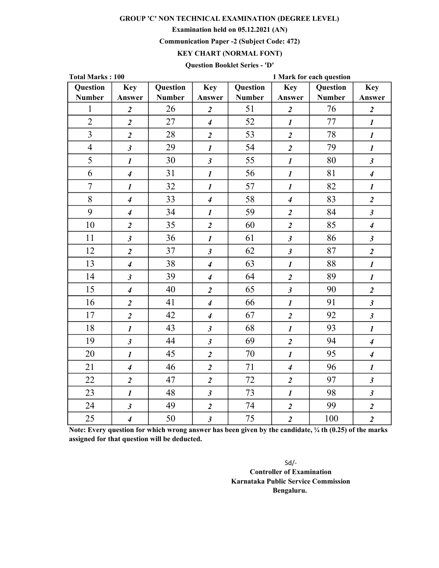## Examination held on 05.12.2021 (AN)

## Communication Paper -2 (Subject Code: 472)

# KEY CHART (NORMAL FONT)

### Question Booklet Series - 'D'

| <b>Total Marks: 100</b> |                             |                 |                             | 1 Mark for each question |                             |                 |                             |  |
|-------------------------|-----------------------------|-----------------|-----------------------------|--------------------------|-----------------------------|-----------------|-----------------------------|--|
| <b>Question</b>         | <b>Key</b>                  | <b>Question</b> | <b>Key</b>                  | Question                 | <b>Key</b>                  | <b>Question</b> | <b>Key</b>                  |  |
| <b>Number</b>           | Answer                      | <b>Number</b>   | Answer                      | <b>Number</b>            | Answer                      | <b>Number</b>   | Answer                      |  |
| $\mathbf{1}$            | $\boldsymbol{2}$            | 26              | $\boldsymbol{2}$            | 51                       | $\overline{2}$              | 76              | $\boldsymbol{2}$            |  |
| $\overline{2}$          | $\overline{2}$              | 27              | $\overline{4}$              | 52                       | $\boldsymbol{l}$            | 77              | $\boldsymbol{l}$            |  |
| $\overline{3}$          | $\overline{2}$              | 28              | $\overline{2}$              | 53                       | $\overline{2}$              | 78              | $\boldsymbol{l}$            |  |
| $\overline{4}$          | $\mathfrak{z}$              | 29              | $\boldsymbol{l}$            | 54                       | $\overline{\mathbf{c}}$     | 79              | $\boldsymbol{l}$            |  |
| 5                       | $\boldsymbol{l}$            | 30              | $\mathfrak{z}$              | 55                       | $\boldsymbol{l}$            | 80              | $\boldsymbol{\beta}$        |  |
| 6                       | $\overline{\boldsymbol{4}}$ | 31              | $\boldsymbol{l}$            | 56                       | $\boldsymbol{l}$            | 81              | $\overline{\boldsymbol{4}}$ |  |
| $\overline{7}$          | $\boldsymbol{l}$            | 32              | $\boldsymbol{l}$            | 57                       | $\boldsymbol{l}$            | 82              | $\boldsymbol{l}$            |  |
| 8                       | $\overline{\boldsymbol{4}}$ | 33              | $\overline{\mathbf{4}}$     | 58                       | $\overline{\boldsymbol{4}}$ | 83              | $\boldsymbol{2}$            |  |
| 9                       | $\overline{\boldsymbol{4}}$ | 34              | $\boldsymbol{l}$            | 59                       | $\overline{2}$              | 84              | $\boldsymbol{\beta}$        |  |
| 10                      | $\overline{2}$              | 35              | $\overline{2}$              | 60                       | $\overline{2}$              | 85              | $\overline{\boldsymbol{4}}$ |  |
| 11                      | $\mathfrak{z}$              | 36              | $\boldsymbol{l}$            | 61                       | $\mathfrak{z}$              | 86              | $\boldsymbol{\beta}$        |  |
| 12                      | $\overline{2}$              | 37              | $\mathfrak{z}$              | 62                       | $\mathfrak{z}$              | 87              | $\boldsymbol{2}$            |  |
| 13                      | $\overline{\boldsymbol{4}}$ | 38              | $\overline{\boldsymbol{4}}$ | 63                       | $\boldsymbol{l}$            | 88              | $\boldsymbol{l}$            |  |
| 14                      | $\mathfrak{z}$              | 39              | $\overline{\boldsymbol{4}}$ | 64                       | $\overline{2}$              | 89              | $\boldsymbol{l}$            |  |
| 15                      | $\overline{\boldsymbol{4}}$ | 40              | $\overline{2}$              | 65                       | $\mathfrak{z}$              | 90              | $\overline{\mathbf{c}}$     |  |
| 16                      | $\overline{2}$              | 41              | $\overline{\boldsymbol{4}}$ | 66                       | $\boldsymbol{l}$            | 91              | $\mathfrak{z}$              |  |
| 17                      | $\boldsymbol{2}$            | 42              | $\overline{4}$              | 67                       | $\overline{2}$              | 92              | $\boldsymbol{\beta}$        |  |
| 18                      | $\boldsymbol{l}$            | 43              | $\mathfrak{z}$              | 68                       | $\boldsymbol{l}$            | 93              | $\boldsymbol{l}$            |  |
| 19                      | $\mathfrak{z}$              | 44              | $\mathfrak{z}$              | 69                       | $\overline{\mathbf{c}}$     | 94              | $\boldsymbol{4}$            |  |
| 20                      | $\boldsymbol{l}$            | 45              | $\overline{\mathbf{c}}$     | 70                       | $\boldsymbol{l}$            | 95              | $\boldsymbol{4}$            |  |
| 21                      | $\boldsymbol{4}$            | 46              | $\boldsymbol{2}$            | 71                       | $\overline{\boldsymbol{4}}$ | 96              | $\boldsymbol{l}$            |  |
| 22                      | $\overline{2}$              | 47              | $\overline{2}$              | 72                       | $\overline{2}$              | 97              | $\mathfrak{z}$              |  |
| 23                      | $\boldsymbol{l}$            | 48              | $\mathfrak{z}$              | 73                       | $\boldsymbol{l}$            | 98              | $\boldsymbol{\beta}$        |  |
| 24                      | $\mathfrak{z}$              | 49              | $\overline{\mathbf{2}}$     | 74                       | $\overline{\mathbf{2}}$     | 99              | $\boldsymbol{2}$            |  |
| 25                      | $\overline{4}$              | 50              | $\mathfrak{z}$              | 75                       | $\overline{2}$              | 100             | $\overline{\mathbf{c}}$     |  |

Note: Every question for which wrong answer has been given by the candidate,  $\frac{1}{4}$  th (0.25) of the marks assigned for that question will be deducted.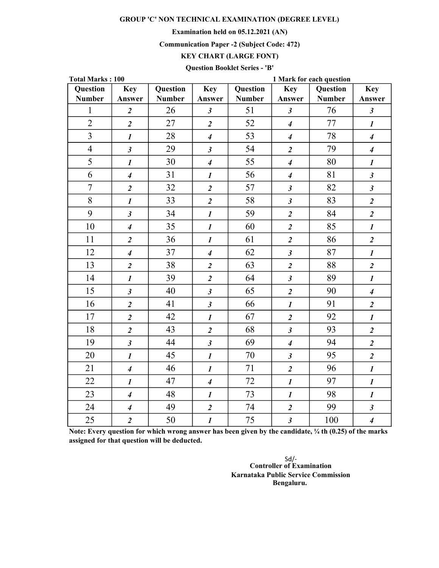#### Examination held on 05.12.2021 (AN)

#### Communication Paper -2 (Subject Code: 472)

# KEY CHART (LARGE FONT)

# Question Booklet Series - 'B'

| <b>Total Marks: 100</b> |                             |                 |                             | 1 Mark for each question |                             |               |                             |  |
|-------------------------|-----------------------------|-----------------|-----------------------------|--------------------------|-----------------------------|---------------|-----------------------------|--|
| <b>Question</b>         | <b>Key</b>                  | <b>Question</b> | <b>Key</b>                  | Question                 | <b>Key</b>                  | Question      | <b>Key</b>                  |  |
| <b>Number</b>           | Answer                      | <b>Number</b>   | Answer                      | <b>Number</b>            | Answer                      | <b>Number</b> | Answer                      |  |
| $\mathbf 1$             | $\boldsymbol{2}$            | 26              | $\mathfrak{z}$              | 51                       | $\mathfrak{z}$              | 76            | $\mathfrak{z}$              |  |
| $\overline{2}$          | $\overline{2}$              | 27              | $\overline{2}$              | 52                       | $\overline{\mathbf{4}}$     | 77            | $\boldsymbol{l}$            |  |
| $\overline{3}$          | $\boldsymbol{l}$            | 28              | $\overline{4}$              | 53                       | $\overline{\mathbf{4}}$     | 78            | $\overline{\boldsymbol{4}}$ |  |
| $\overline{4}$          | $\mathfrak{z}$              | 29              | $\mathfrak{z}$              | 54                       | $\overline{2}$              | 79            | $\overline{\boldsymbol{4}}$ |  |
| 5                       | $\boldsymbol{l}$            | 30              | $\overline{4}$              | 55                       | $\overline{4}$              | 80            | $\boldsymbol{l}$            |  |
| 6                       | $\boldsymbol{4}$            | 31              | $\boldsymbol{l}$            | 56                       | $\overline{\boldsymbol{4}}$ | 81            | $\mathfrak{z}$              |  |
| $\overline{7}$          | $\overline{2}$              | 32              | $\overline{2}$              | 57                       | $\mathfrak{z}$              | 82            | $\mathfrak{z}$              |  |
| 8                       | $\boldsymbol{l}$            | 33              | $\overline{2}$              | 58                       | $\mathfrak{z}$              | 83            | $\overline{\mathbf{c}}$     |  |
| 9                       | $\boldsymbol{\beta}$        | 34              | $\boldsymbol{l}$            | 59                       | $\overline{2}$              | 84            | $\boldsymbol{2}$            |  |
| 10                      | $\overline{\boldsymbol{4}}$ | 35              | $\boldsymbol{l}$            | 60                       | $\overline{2}$              | 85            | $\boldsymbol{l}$            |  |
| 11                      | $\overline{2}$              | 36              | $\boldsymbol{l}$            | 61                       | $\overline{2}$              | 86            | $\overline{\mathbf{2}}$     |  |
| 12                      | $\overline{\boldsymbol{4}}$ | 37              | $\overline{\boldsymbol{4}}$ | 62                       | $\mathfrak{z}$              | 87            | $\boldsymbol{l}$            |  |
| 13                      | $\overline{2}$              | 38              | $\overline{\mathbf{c}}$     | 63                       | $\overline{2}$              | 88            | $\overline{\mathbf{c}}$     |  |
| 14                      | $\boldsymbol{l}$            | 39              | $\overline{2}$              | 64                       | $\overline{\mathbf{3}}$     | 89            | $\boldsymbol{l}$            |  |
| 15                      | $\mathfrak{z}$              | 40              | $\mathfrak{z}$              | 65                       | $\overline{2}$              | 90            | $\boldsymbol{4}$            |  |
| 16                      | $\overline{\mathbf{c}}$     | 41              | $\mathfrak{z}$              | 66                       | $\boldsymbol{l}$            | 91            | $\boldsymbol{2}$            |  |
| 17                      | $\overline{2}$              | 42              | $\boldsymbol{l}$            | 67                       | $\overline{2}$              | 92            | $\boldsymbol{l}$            |  |
| 18                      | $\overline{2}$              | 43              | $\overline{2}$              | 68                       | $\mathfrak{z}$              | 93            | $\overline{\mathbf{c}}$     |  |
| 19                      | $\mathfrak{z}$              | 44              | $\mathfrak{z}$              | 69                       | $\overline{\boldsymbol{4}}$ | 94            | $\overline{\mathbf{c}}$     |  |
| 20                      | $\boldsymbol{l}$            | 45              | $\boldsymbol{l}$            | 70                       | $\boldsymbol{\mathfrak{z}}$ | 95            | $\overline{\mathbf{c}}$     |  |
| 21                      | $\overline{\boldsymbol{4}}$ | 46              | $\boldsymbol{l}$            | 71                       | $\overline{\mathbf{c}}$     | 96            | $\boldsymbol{l}$            |  |
| 22                      | $\boldsymbol{l}$            | 47              | $\overline{\boldsymbol{4}}$ | 72                       | $\boldsymbol{l}$            | 97            | $\boldsymbol{l}$            |  |
| 23                      | $\overline{\boldsymbol{4}}$ | 48              | $\boldsymbol{l}$            | 73                       | $\boldsymbol{l}$            | 98            | $\boldsymbol{l}$            |  |
| 24                      | $\overline{\boldsymbol{4}}$ | 49              | $\overline{\mathbf{c}}$     | 74                       | $\overline{\mathbf{c}}$     | 99            | $\boldsymbol{\beta}$        |  |
| 25                      | $\overline{2}$              | 50              | $\boldsymbol{l}$            | 75                       | $\overline{\mathbf{3}}$     | 100           | $\overline{\boldsymbol{4}}$ |  |

Note: Every question for which wrong answer has been given by the candidate,  $\frac{1}{4}$  th (0.25) of the marks assigned for that question will be deducted.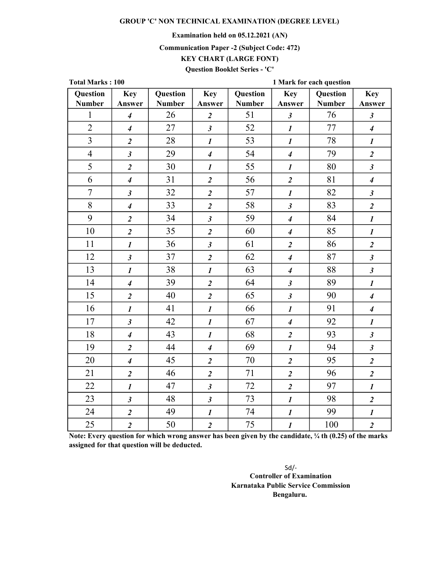## Examination held on 05.12.2021 (AN)

### Communication Paper -2 (Subject Code: 472)

# KEY CHART (LARGE FONT)

## Question Booklet Series - 'C'

| <b>Total Marks: 100</b> |                             |               |                             | 1 Mark for each question |                             |               |                             |  |
|-------------------------|-----------------------------|---------------|-----------------------------|--------------------------|-----------------------------|---------------|-----------------------------|--|
| <b>Question</b>         | <b>Key</b>                  | Question      | <b>Key</b>                  | Question                 | <b>Key</b>                  | Question      | <b>Key</b>                  |  |
| <b>Number</b>           | Answer                      | <b>Number</b> | Answer                      | <b>Number</b>            | Answer                      | <b>Number</b> | Answer                      |  |
| $\mathbf 1$             | $\overline{\boldsymbol{4}}$ | 26            | $\boldsymbol{2}$            | 51                       | $\boldsymbol{\mathfrak{z}}$ | 76            | $\boldsymbol{\beta}$        |  |
| $\overline{2}$          | $\overline{4}$              | 27            | $\mathfrak{z}$              | 52                       | $\boldsymbol{l}$            | 77            | $\overline{\boldsymbol{4}}$ |  |
| $\overline{3}$          | $\overline{\mathbf{2}}$     | 28            | $\boldsymbol{l}$            | 53                       | $\boldsymbol{l}$            | 78            | $\boldsymbol{l}$            |  |
| $\overline{4}$          | $\mathfrak{z}$              | 29            | $\overline{\boldsymbol{4}}$ | 54                       | $\boldsymbol{4}$            | 79            | $\overline{2}$              |  |
| 5                       | $\overline{\mathbf{2}}$     | 30            | $\boldsymbol{l}$            | 55                       | $\boldsymbol{l}$            | 80            | $\mathfrak{z}$              |  |
| 6                       | $\boldsymbol{4}$            | 31            | $\overline{\mathbf{c}}$     | 56                       | $\overline{\mathbf{c}}$     | 81            | $\overline{\boldsymbol{4}}$ |  |
| $\overline{7}$          | $\boldsymbol{\mathfrak{z}}$ | 32            | $\overline{2}$              | 57                       | $\boldsymbol{l}$            | 82            | $\mathfrak{z}$              |  |
| 8                       | $\boldsymbol{4}$            | 33            | $\overline{\mathbf{c}}$     | 58                       | $\mathfrak{z}$              | 83            | $\overline{\mathbf{c}}$     |  |
| 9                       | $\boldsymbol{2}$            | 34            | $\mathfrak{z}$              | 59                       | $\boldsymbol{4}$            | 84            | $\boldsymbol{l}$            |  |
| 10                      | $\overline{\mathbf{2}}$     | 35            | $\overline{2}$              | 60                       | $\boldsymbol{4}$            | 85            | $\boldsymbol{l}$            |  |
| 11                      | $\boldsymbol{l}$            | 36            | $\mathfrak{z}$              | 61                       | $\boldsymbol{2}$            | 86            | $\overline{2}$              |  |
| 12                      | $\mathfrak{z}$              | 37            | $\overline{\mathbf{c}}$     | 62                       | $\overline{\boldsymbol{4}}$ | 87            | $\mathfrak{z}$              |  |
| 13                      | $\boldsymbol{l}$            | 38            | $\boldsymbol{l}$            | 63                       | $\overline{\boldsymbol{4}}$ | 88            | $\mathfrak{z}$              |  |
| 14                      | $\overline{\boldsymbol{4}}$ | 39            | $\overline{2}$              | 64                       | $\boldsymbol{\mathfrak{z}}$ | 89            | $\boldsymbol{l}$            |  |
| 15                      | $\overline{2}$              | 40            | $\overline{2}$              | 65                       | $\boldsymbol{\mathfrak{z}}$ | 90            | $\overline{\boldsymbol{4}}$ |  |
| 16                      | $\boldsymbol{l}$            | 41            | $\boldsymbol{l}$            | 66                       | $\boldsymbol{l}$            | 91            | $\boldsymbol{4}$            |  |
| 17                      | $\boldsymbol{\mathfrak{z}}$ | 42            | $\boldsymbol{l}$            | 67                       | $\overline{\boldsymbol{4}}$ | 92            | $\boldsymbol{l}$            |  |
| 18                      | $\overline{\boldsymbol{4}}$ | 43            | $\boldsymbol{l}$            | 68                       | $\overline{2}$              | 93            | $\mathfrak{z}$              |  |
| 19                      | $\overline{\mathbf{2}}$     | 44            | $\overline{\boldsymbol{4}}$ | 69                       | $\boldsymbol{l}$            | 94            | $\boldsymbol{\beta}$        |  |
| 20                      | $\overline{\boldsymbol{4}}$ | 45            | $\overline{2}$              | 70                       | $\overline{\mathbf{2}}$     | 95            | $\overline{\mathbf{c}}$     |  |
| 21                      | $\overline{2}$              | 46            | $\overline{2}$              | 71                       | $\overline{\mathbf{c}}$     | 96            | $\overline{\mathbf{c}}$     |  |
| 22                      | $\boldsymbol{l}$            | 47            | $\mathfrak{z}$              | 72                       | $\overline{2}$              | 97            | $\boldsymbol{l}$            |  |
| 23                      | $\boldsymbol{\mathfrak{z}}$ | 48            | $\mathfrak{z}$              | 73                       | $\boldsymbol{l}$            | 98            | $\overline{\mathbf{c}}$     |  |
| 24                      | $\overline{\mathbf{c}}$     | 49            | $\boldsymbol{l}$            | 74                       | $\boldsymbol{l}$            | 99            | $\boldsymbol{l}$            |  |
| 25                      | $\overline{\mathbf{2}}$     | 50            | $\overline{2}$              | 75                       | $\boldsymbol{l}$            | 100           | $\overline{\mathbf{c}}$     |  |

Note: Every question for which wrong answer has been given by the candidate, ¼ th (0.25) of the marks assigned for that question will be deducted.